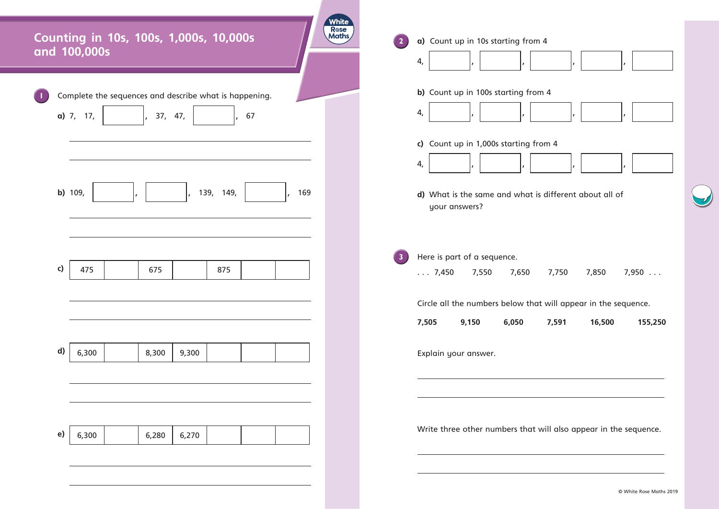| <b>White</b><br><b>R</b> ose<br>Counting in 10s, 100s, 1,000s, 10,000s<br>Maths<br>and 100,000s | a) Count up in 10s starting from 4<br>$\overline{\mathbf{2}}$<br>4,                                                                                        |
|-------------------------------------------------------------------------------------------------|------------------------------------------------------------------------------------------------------------------------------------------------------------|
| Complete the sequences and describe what is happening.<br>a) 7, 17,<br>37, 47,<br>67            | b) Count up in 100s starting from 4<br>4,                                                                                                                  |
|                                                                                                 | c) Count up in 1,000s starting from 4<br>4,                                                                                                                |
| b) 109,<br>139, 149,<br>169                                                                     | d) What is the same and what is different about all of<br>your answers?                                                                                    |
| c)<br>475<br>675<br>875                                                                         | Here is part of a sequence.<br><b>B7</b><br>$\ldots 7,450$<br>7,550<br>7,650<br>7,750<br>7,850<br>Circle all the numbers below that will appear in the seq |
|                                                                                                 | 9,150<br>6,050<br>7,591<br>16,500<br>7,505                                                                                                                 |
| d)<br>6,300<br>8,300<br>9,300                                                                   | Explain your answer.                                                                                                                                       |
|                                                                                                 |                                                                                                                                                            |
| e)<br>6,280<br>6,300<br>6,270                                                                   | Write three other numbers that will also appear in the                                                                                                     |
|                                                                                                 | $\circ$                                                                                                                                                    |



 $\bigcup$ 

© White Rose Maths 2019